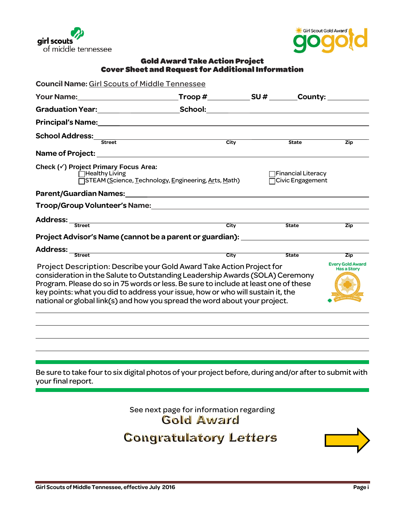



#### Gold Award Take Action Project Cover Sheet and Request for Additional Information

|                                                                                                                                                                                                                                                                                                                                                                                                               | $\textsf{Twop}\,\text{\#}\_\textsf{non}\,\textsf{SU}\,\text{\#}\_\textsf{non}\,\textsf{County:}\_\textsf{non}\,.$ |                                                 |                                               |
|---------------------------------------------------------------------------------------------------------------------------------------------------------------------------------------------------------------------------------------------------------------------------------------------------------------------------------------------------------------------------------------------------------------|-------------------------------------------------------------------------------------------------------------------|-------------------------------------------------|-----------------------------------------------|
|                                                                                                                                                                                                                                                                                                                                                                                                               |                                                                                                                   |                                                 |                                               |
|                                                                                                                                                                                                                                                                                                                                                                                                               |                                                                                                                   |                                                 |                                               |
|                                                                                                                                                                                                                                                                                                                                                                                                               |                                                                                                                   |                                                 |                                               |
| School Address:<br>Street                                                                                                                                                                                                                                                                                                                                                                                     | $\overline{City}$                                                                                                 | <b>State</b>                                    | <b>Zip</b>                                    |
|                                                                                                                                                                                                                                                                                                                                                                                                               |                                                                                                                   |                                                 |                                               |
| Check (√) Project Primary Focus Area:<br>□Healthy Living                                                                                                                                                                                                                                                                                                                                                      | STEAM ( <u>S</u> cience, <u>T</u> echnology, <u>E</u> ngineering, Arts, Math)                                     | <b>TFinancial Literacy</b><br>□Civic Engagement |                                               |
| Parent/Guardian Names: 1997 - 1997 - 1998 - 1998 - 1999 - 1999 - 1999 - 1999 - 1999 - 1999 - 1999 - 1999 - 19                                                                                                                                                                                                                                                                                                 |                                                                                                                   |                                                 |                                               |
|                                                                                                                                                                                                                                                                                                                                                                                                               |                                                                                                                   |                                                 |                                               |
| Address: Street                                                                                                                                                                                                                                                                                                                                                                                               | <u>City</u>                                                                                                       | <b>State</b>                                    | <b>Zip</b>                                    |
| Project Advisor's Name (cannot be a parent or guardian): _______________________                                                                                                                                                                                                                                                                                                                              |                                                                                                                   |                                                 |                                               |
| Address:                                                                                                                                                                                                                                                                                                                                                                                                      | <u> 1989 - Andrea Barbara, poeta esp</u>                                                                          |                                                 |                                               |
| <b>Street</b>                                                                                                                                                                                                                                                                                                                                                                                                 | City                                                                                                              | <b>State</b>                                    | <b>Zip</b>                                    |
| Project Description: Describe your Gold Award Take Action Project for<br>consideration in the Salute to Outstanding Leadership Awards (SOLA) Ceremony<br>Program. Please do so in 75 words or less. Be sure to include at least one of these<br>key points: what you did to address your issue, how or who will sustain it, the<br>national or global link(s) and how you spread the word about your project. |                                                                                                                   |                                                 | <b>Every Gold Award</b><br><b>Has a Story</b> |
|                                                                                                                                                                                                                                                                                                                                                                                                               |                                                                                                                   |                                                 |                                               |
|                                                                                                                                                                                                                                                                                                                                                                                                               |                                                                                                                   |                                                 |                                               |
|                                                                                                                                                                                                                                                                                                                                                                                                               |                                                                                                                   |                                                 |                                               |
|                                                                                                                                                                                                                                                                                                                                                                                                               |                                                                                                                   |                                                 |                                               |
|                                                                                                                                                                                                                                                                                                                                                                                                               |                                                                                                                   |                                                 |                                               |

See next page for information regarding<br> **Gold Award Congratulatory Letters** 

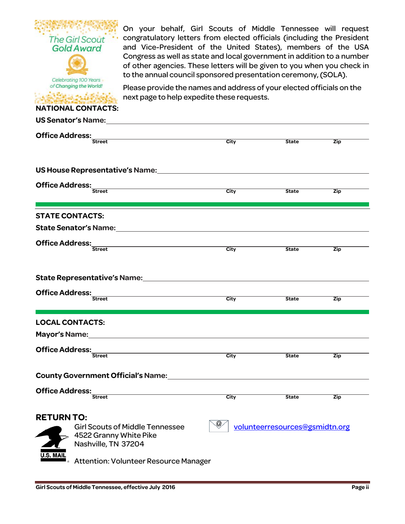| <b>The Girl Scout</b><br><b>Gold Award</b><br>Celebrating 100 Years<br>of Changing the World!<br><b>NATIONAL CONTACTS:</b> | On your behalf, Girl Scouts of Middle Tennessee will request<br>congratulatory letters from elected officials (including the President<br>and Vice-President of the United States), members of the USA<br>Congress as well as state and local government in addition to a number<br>of other agencies. These letters will be given to you when you check in<br>to the annual council sponsored presentation ceremony, (SOLA).<br>Please provide the names and address of your elected officials on the<br>next page to help expedite these requests. |                      |                                |            |
|----------------------------------------------------------------------------------------------------------------------------|------------------------------------------------------------------------------------------------------------------------------------------------------------------------------------------------------------------------------------------------------------------------------------------------------------------------------------------------------------------------------------------------------------------------------------------------------------------------------------------------------------------------------------------------------|----------------------|--------------------------------|------------|
|                                                                                                                            | US Senator's Name: The contract of the contract of the contract of the contract of the contract of the contract of the contract of the contract of the contract of the contract of the contract of the contract of the contrac                                                                                                                                                                                                                                                                                                                       |                      |                                |            |
| <b>Office Address:</b><br><b>Street</b>                                                                                    |                                                                                                                                                                                                                                                                                                                                                                                                                                                                                                                                                      | $\overline{C}$ ity   | <b>State</b>                   | Zip        |
|                                                                                                                            |                                                                                                                                                                                                                                                                                                                                                                                                                                                                                                                                                      |                      |                                |            |
|                                                                                                                            | US House Representative's Name: Name and National Assembly Controller and National Assembly                                                                                                                                                                                                                                                                                                                                                                                                                                                          |                      |                                |            |
| <b>Office Address:</b>                                                                                                     | <u> 1989 - Johann Barn, mars ann an t-Amhain an t-Amhain an t-Amhain an t-Amhain an t-Amhain an t-Amhain an t-Amh</u>                                                                                                                                                                                                                                                                                                                                                                                                                                |                      |                                |            |
| <b>Street</b>                                                                                                              |                                                                                                                                                                                                                                                                                                                                                                                                                                                                                                                                                      | City                 | <b>State</b>                   | Zip        |
| <b>STATE CONTACTS:</b>                                                                                                     |                                                                                                                                                                                                                                                                                                                                                                                                                                                                                                                                                      |                      |                                |            |
|                                                                                                                            | State Senator's Name: The Contract of State Senator's Name:                                                                                                                                                                                                                                                                                                                                                                                                                                                                                          |                      |                                |            |
|                                                                                                                            |                                                                                                                                                                                                                                                                                                                                                                                                                                                                                                                                                      |                      |                                |            |
| <b>Office Address:</b><br><b>Street</b>                                                                                    |                                                                                                                                                                                                                                                                                                                                                                                                                                                                                                                                                      | City                 | <b>State</b>                   | Zip        |
| <b>Office Address:</b><br><b>Street</b>                                                                                    | State Representative's Name: The contract of the state of the state of the state of the state of the state of the state of the state of the state of the state of the state of the state of the state of the state of the stat                                                                                                                                                                                                                                                                                                                       | City                 | <b>State</b>                   | Zip        |
|                                                                                                                            |                                                                                                                                                                                                                                                                                                                                                                                                                                                                                                                                                      |                      |                                |            |
| <b>LOCAL CONTACTS:</b>                                                                                                     |                                                                                                                                                                                                                                                                                                                                                                                                                                                                                                                                                      |                      |                                |            |
| Mayor's Name: Name and South Allen Mayor's Name:                                                                           |                                                                                                                                                                                                                                                                                                                                                                                                                                                                                                                                                      |                      |                                |            |
| <b>Office Address:</b><br><b>Street</b>                                                                                    |                                                                                                                                                                                                                                                                                                                                                                                                                                                                                                                                                      | City                 | <b>State</b>                   | Zip        |
|                                                                                                                            |                                                                                                                                                                                                                                                                                                                                                                                                                                                                                                                                                      |                      |                                |            |
|                                                                                                                            | County Government Official's Name:<br><u>County Government Official's Name:</u>                                                                                                                                                                                                                                                                                                                                                                                                                                                                      |                      |                                |            |
| <b>Office Address:</b>                                                                                                     |                                                                                                                                                                                                                                                                                                                                                                                                                                                                                                                                                      |                      |                                |            |
| <b>Street</b>                                                                                                              |                                                                                                                                                                                                                                                                                                                                                                                                                                                                                                                                                      | City                 | <b>State</b>                   | <b>Zip</b> |
| <b>RETURN TO:</b><br>4522 Granny White Pike<br>Nashville, TN 37204<br>J.S. MAI                                             | <b>Girl Scouts of Middle Tennessee</b><br>Attention: Volunteer Resource Manager                                                                                                                                                                                                                                                                                                                                                                                                                                                                      | $^{\textregistered}$ | volunteerresources@gsmidtn.org |            |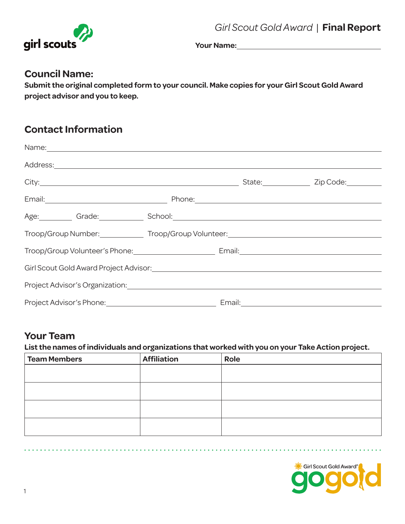

**Your Name:** 

### **Council Name:**

**Submit the original completed form to your council. Make copies for your Girl Scout Gold Award project advisor and you to keep.**

## **Contact Information**

|                                                                                                                |  | State: <u>Zip Code:</u> |
|----------------------------------------------------------------------------------------------------------------|--|-------------------------|
|                                                                                                                |  |                         |
| Age: Grade: Grade: School: Change Containers and Change Containers and Change Containers and Change Containers |  |                         |
| Troop/Group Number: ______________ Troop/Group Volunteer: _______________________                              |  |                         |
| Troop/Group Volunteer's Phone: Cambridge Mail: Campail: Campail: Campail: Campail: Campaign Mail: Campaign Mai |  |                         |
|                                                                                                                |  |                         |
|                                                                                                                |  |                         |
|                                                                                                                |  |                         |

## **Your Team**

**List the names of individuals and organizations that worked with you on your Take Action project.**

| <b>Team Members</b> | <b>Affiliation</b> | Role |
|---------------------|--------------------|------|
|                     |                    |      |
|                     |                    |      |
|                     |                    |      |
|                     |                    |      |
|                     |                    |      |
|                     |                    |      |
|                     |                    |      |
|                     |                    |      |

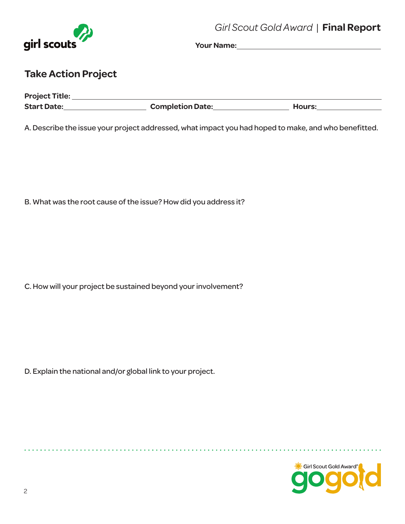

**Your Name:** 

## **Take Action Project**

| <b>Project Title:</b> |                         |        |
|-----------------------|-------------------------|--------|
| <b>Start Date:</b>    | <b>Completion Date:</b> | Hours: |

A. Describe the issue your project addressed, what impact you had hoped to make, and who benefitted.

B. What was the root cause of the issue? How did you address it?

C. How will your project be sustained beyond your involvement?

D. Explain the national and/or global link to your project.

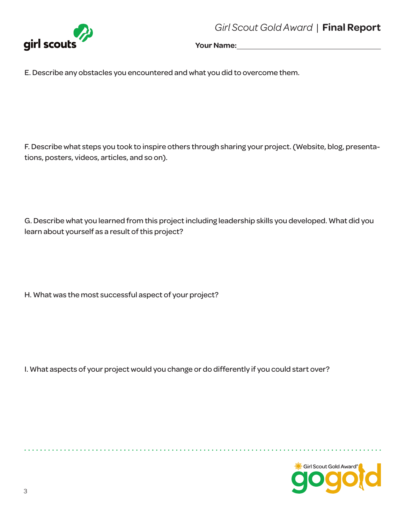*Girl Scout Gold Award* |**Final Report**



Your Name:

E. Describe any obstacles you encountered and what you did to overcome them.

F. Describe what steps you took to inspire others through sharing your project. (Website, blog, presentations, posters, videos, articles, and so on).

G. Describe what you learned from this project including leadership skills you developed. What did you learn about yourself as a result of this project?

H. What was the most successful aspect of your project?

I. What aspects of your project would you change or do differently if you could start over?

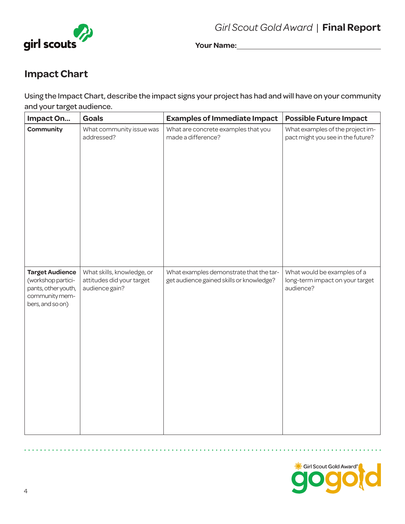



**Your Name:** 

# **Impact Chart**

Using the Impact Chart, describe the impact signs your project has had and will have on your community and your target audience.

| Impact On                                                                                                 | <b>Goals</b>                                                              | <b>Examples of Immediate Impact</b>                                                 | <b>Possible Future Impact</b>                                               |
|-----------------------------------------------------------------------------------------------------------|---------------------------------------------------------------------------|-------------------------------------------------------------------------------------|-----------------------------------------------------------------------------|
| Community                                                                                                 | What community issue was<br>addressed?                                    | What are concrete examples that you<br>made a difference?                           | What examples of the project im-<br>pact might you see in the future?       |
| <b>Target Audience</b><br>(workshop partici-<br>pants, other youth,<br>community mem-<br>bers, and so on) | What skills, knowledge, or<br>attitudes did your target<br>audience gain? | What examples demonstrate that the tar-<br>get audience gained skills or knowledge? | What would be examples of a<br>long-term impact on your target<br>audience? |

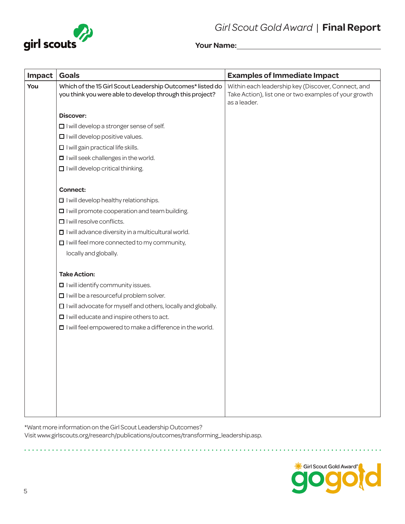



Your Name: <u>**William Science 1988**</u>

| Impact | <b>Goals</b>                                                                                                          | <b>Examples of Immediate Impact</b>                                                                                         |
|--------|-----------------------------------------------------------------------------------------------------------------------|-----------------------------------------------------------------------------------------------------------------------------|
| You    | Which of the 15 Girl Scout Leadership Outcomes* listed do<br>you think you were able to develop through this project? | Within each leadership key (Discover, Connect, and<br>Take Action), list one or two examples of your growth<br>as a leader. |
|        | <b>Discover:</b>                                                                                                      |                                                                                                                             |
|        | $\Box$ I will develop a stronger sense of self.                                                                       |                                                                                                                             |
|        | $\Box$ I will develop positive values.                                                                                |                                                                                                                             |
|        | I I will gain practical life skills.                                                                                  |                                                                                                                             |
|        | $\Box$ I will seek challenges in the world.                                                                           |                                                                                                                             |
|        | $\Box$ I will develop critical thinking.                                                                              |                                                                                                                             |
|        | <b>Connect:</b>                                                                                                       |                                                                                                                             |
|        | I will develop healthy relationships.                                                                                 |                                                                                                                             |
|        | $\Box$ I will promote cooperation and team building.                                                                  |                                                                                                                             |
|        | $\Box$ I will resolve conflicts.                                                                                      |                                                                                                                             |
|        | $\Box$ I will advance diversity in a multicultural world.                                                             |                                                                                                                             |
|        | $\Box$ I will feel more connected to my community,                                                                    |                                                                                                                             |
|        | locally and globally.                                                                                                 |                                                                                                                             |
|        | <b>Take Action:</b>                                                                                                   |                                                                                                                             |
|        | $\blacksquare$ I will identify community issues.                                                                      |                                                                                                                             |
|        | $\Box$ I will be a resourceful problem solver.                                                                        |                                                                                                                             |
|        | $\Box$ I will advocate for myself and others, locally and globally.                                                   |                                                                                                                             |
|        | $\Box$ I will educate and inspire others to act.                                                                      |                                                                                                                             |
|        | $\Box$ I will feel empowered to make a difference in the world.                                                       |                                                                                                                             |
|        |                                                                                                                       |                                                                                                                             |
|        |                                                                                                                       |                                                                                                                             |
|        |                                                                                                                       |                                                                                                                             |
|        |                                                                                                                       |                                                                                                                             |
|        |                                                                                                                       |                                                                                                                             |
|        |                                                                                                                       |                                                                                                                             |
|        |                                                                                                                       |                                                                                                                             |
|        |                                                                                                                       |                                                                                                                             |

\*Want more information on the Girl Scout Leadership Outcomes? Visitwww.girlscouts.org/research/publications/outcomes/transforming\_leadership.asp.

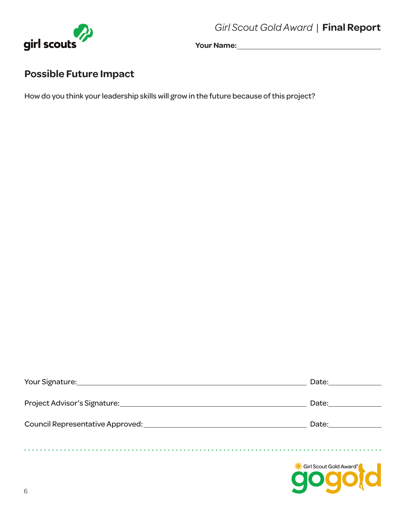*Girl Scout Gold Award* |**Final Report**



**Your Name:** 

# **Possible Future Impact**

How do you think your leadership skills will grow in the future because of this project?

| Date:                                                                                                                                                                                                                          |
|--------------------------------------------------------------------------------------------------------------------------------------------------------------------------------------------------------------------------------|
| Date: <u>______________</u>                                                                                                                                                                                                    |
| Date: the contract of the contract of the contract of the contract of the contract of the contract of the contract of the contract of the contract of the contract of the contract of the contract of the contract of the cont |
|                                                                                                                                                                                                                                |
| Girl Scout Gold Award®                                                                                                                                                                                                         |